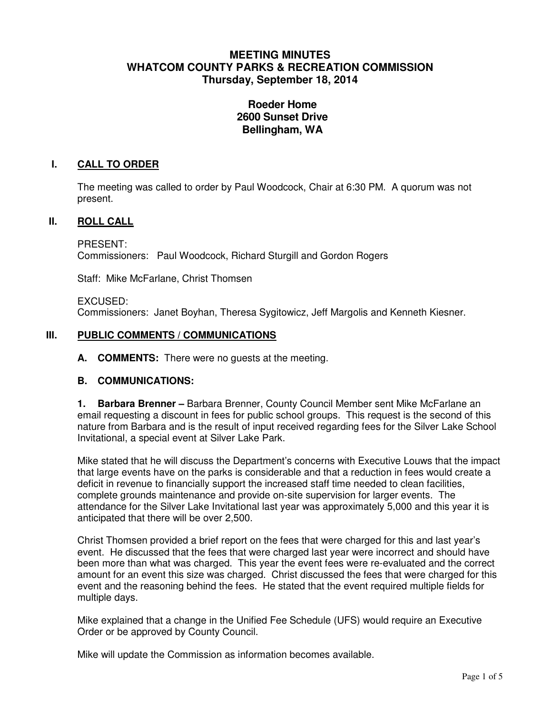# **MEETING MINUTES WHATCOM COUNTY PARKS & RECREATION COMMISSION Thursday, September 18, 2014**

# **Roeder Home 2600 Sunset Drive Bellingham, WA**

## **I. CALL TO ORDER**

The meeting was called to order by Paul Woodcock, Chair at 6:30 PM. A quorum was not present.

## **II. ROLL CALL**

PRESENT: Commissioners: Paul Woodcock, Richard Sturgill and Gordon Rogers

Staff: Mike McFarlane, Christ Thomsen

#### EXCUSED:

Commissioners: Janet Boyhan, Theresa Sygitowicz, Jeff Margolis and Kenneth Kiesner.

#### **III. PUBLIC COMMENTS / COMMUNICATIONS**

**A. COMMENTS:** There were no guests at the meeting.

#### **B. COMMUNICATIONS:**

**1. Barbara Brenner –** Barbara Brenner, County Council Member sent Mike McFarlane an email requesting a discount in fees for public school groups. This request is the second of this nature from Barbara and is the result of input received regarding fees for the Silver Lake School Invitational, a special event at Silver Lake Park.

Mike stated that he will discuss the Department's concerns with Executive Louws that the impact that large events have on the parks is considerable and that a reduction in fees would create a deficit in revenue to financially support the increased staff time needed to clean facilities, complete grounds maintenance and provide on-site supervision for larger events. The attendance for the Silver Lake Invitational last year was approximately 5,000 and this year it is anticipated that there will be over 2,500.

Christ Thomsen provided a brief report on the fees that were charged for this and last year's event. He discussed that the fees that were charged last year were incorrect and should have been more than what was charged. This year the event fees were re-evaluated and the correct amount for an event this size was charged. Christ discussed the fees that were charged for this event and the reasoning behind the fees. He stated that the event required multiple fields for multiple days.

Mike explained that a change in the Unified Fee Schedule (UFS) would require an Executive Order or be approved by County Council.

Mike will update the Commission as information becomes available.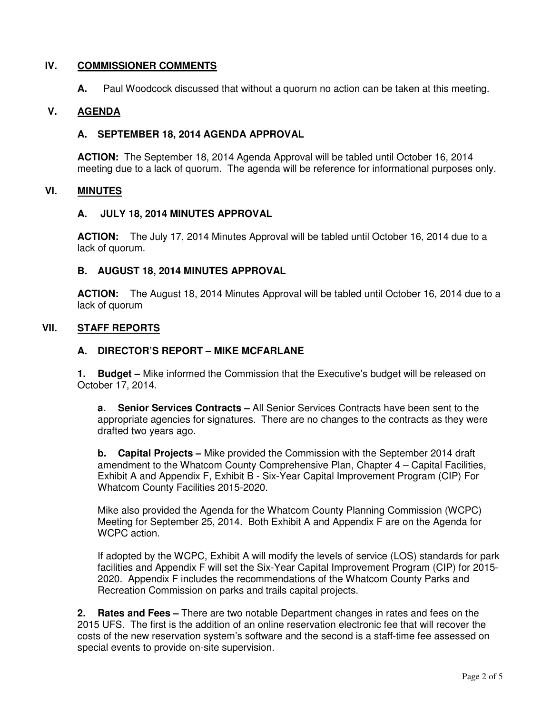## **IV. COMMISSIONER COMMENTS**

**A.** Paul Woodcock discussed that without a quorum no action can be taken at this meeting.

## **V. AGENDA**

## **A. SEPTEMBER 18, 2014 AGENDA APPROVAL**

**ACTION:** The September 18, 2014 Agenda Approval will be tabled until October 16, 2014 meeting due to a lack of quorum. The agenda will be reference for informational purposes only.

#### **VI. MINUTES**

#### **A. JULY 18, 2014 MINUTES APPROVAL**

**ACTION:** The July 17, 2014 Minutes Approval will be tabled until October 16, 2014 due to a lack of quorum.

#### **B. AUGUST 18, 2014 MINUTES APPROVAL**

**ACTION:** The August 18, 2014 Minutes Approval will be tabled until October 16, 2014 due to a lack of quorum

#### **VII. STAFF REPORTS**

#### **A. DIRECTOR'S REPORT – MIKE MCFARLANE**

**1. Budget –** Mike informed the Commission that the Executive's budget will be released on October 17, 2014.

**a. Senior Services Contracts –** All Senior Services Contracts have been sent to the appropriate agencies for signatures. There are no changes to the contracts as they were drafted two years ago.

**b. Capital Projects –** Mike provided the Commission with the September 2014 draft amendment to the Whatcom County Comprehensive Plan, Chapter 4 – Capital Facilities, Exhibit A and Appendix F, Exhibit B - Six-Year Capital Improvement Program (CIP) For Whatcom County Facilities 2015-2020.

Mike also provided the Agenda for the Whatcom County Planning Commission (WCPC) Meeting for September 25, 2014. Both Exhibit A and Appendix F are on the Agenda for WCPC action.

If adopted by the WCPC, Exhibit A will modify the levels of service (LOS) standards for park facilities and Appendix F will set the Six-Year Capital Improvement Program (CIP) for 2015- 2020. Appendix F includes the recommendations of the Whatcom County Parks and Recreation Commission on parks and trails capital projects.

**2. Rates and Fees –** There are two notable Department changes in rates and fees on the 2015 UFS. The first is the addition of an online reservation electronic fee that will recover the costs of the new reservation system's software and the second is a staff-time fee assessed on special events to provide on-site supervision.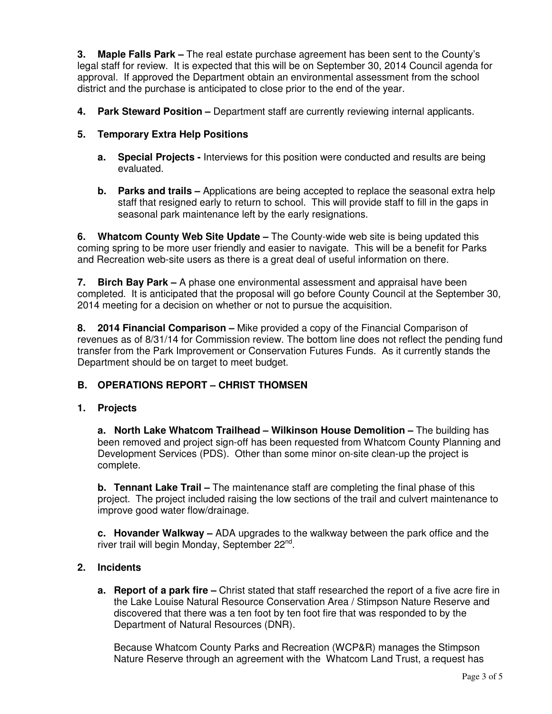**3. Maple Falls Park –** The real estate purchase agreement has been sent to the County's legal staff for review. It is expected that this will be on September 30, 2014 Council agenda for approval. If approved the Department obtain an environmental assessment from the school district and the purchase is anticipated to close prior to the end of the year.

**4. Park Steward Position –** Department staff are currently reviewing internal applicants.

## **5. Temporary Extra Help Positions**

- **a. Special Projects** Interviews for this position were conducted and results are being evaluated.
- **b. Parks and trails –** Applications are being accepted to replace the seasonal extra help staff that resigned early to return to school. This will provide staff to fill in the gaps in seasonal park maintenance left by the early resignations.

**6. Whatcom County Web Site Update –** The County-wide web site is being updated this coming spring to be more user friendly and easier to navigate. This will be a benefit for Parks and Recreation web-site users as there is a great deal of useful information on there.

**7. Birch Bay Park –** A phase one environmental assessment and appraisal have been completed. It is anticipated that the proposal will go before County Council at the September 30, 2014 meeting for a decision on whether or not to pursue the acquisition.

**8. 2014 Financial Comparison –** Mike provided a copy of the Financial Comparison of revenues as of 8/31/14 for Commission review. The bottom line does not reflect the pending fund transfer from the Park Improvement or Conservation Futures Funds. As it currently stands the Department should be on target to meet budget.

## **B. OPERATIONS REPORT – CHRIST THOMSEN**

## **1. Projects**

**a. North Lake Whatcom Trailhead – Wilkinson House Demolition –** The building has been removed and project sign-off has been requested from Whatcom County Planning and Development Services (PDS). Other than some minor on-site clean-up the project is complete.

**b. Tennant Lake Trail –** The maintenance staff are completing the final phase of this project. The project included raising the low sections of the trail and culvert maintenance to improve good water flow/drainage.

**c. Hovander Walkway –** ADA upgrades to the walkway between the park office and the river trail will begin Monday, September 22<sup>nd</sup>.

## **2. Incidents**

**a. Report of a park fire –** Christ stated that staff researched the report of a five acre fire in the Lake Louise Natural Resource Conservation Area / Stimpson Nature Reserve and discovered that there was a ten foot by ten foot fire that was responded to by the Department of Natural Resources (DNR).

Because Whatcom County Parks and Recreation (WCP&R) manages the Stimpson Nature Reserve through an agreement with the Whatcom Land Trust, a request has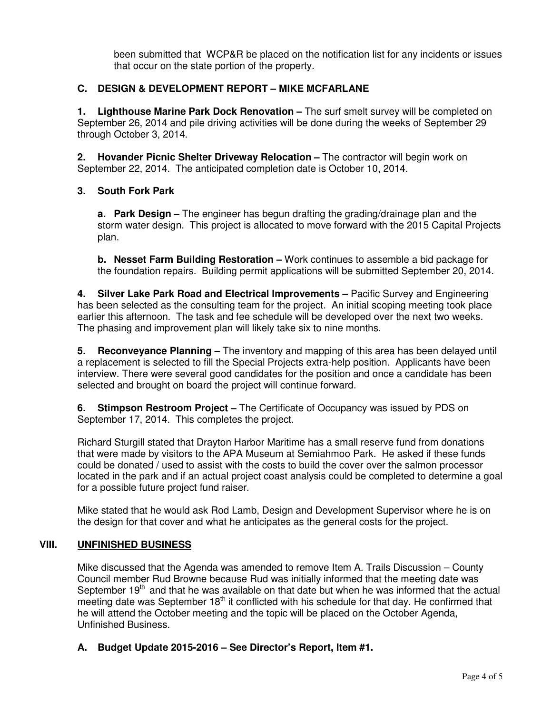been submitted that WCP&R be placed on the notification list for any incidents or issues that occur on the state portion of the property.

## **C. DESIGN & DEVELOPMENT REPORT – MIKE MCFARLANE**

**1. Lighthouse Marine Park Dock Renovation –** The surf smelt survey will be completed on September 26, 2014 and pile driving activities will be done during the weeks of September 29 through October 3, 2014.

**2. Hovander Picnic Shelter Driveway Relocation –** The contractor will begin work on September 22, 2014. The anticipated completion date is October 10, 2014.

## **3. South Fork Park**

**a. Park Design –** The engineer has begun drafting the grading/drainage plan and the storm water design. This project is allocated to move forward with the 2015 Capital Projects plan.

**b. Nesset Farm Building Restoration –** Work continues to assemble a bid package for the foundation repairs. Building permit applications will be submitted September 20, 2014.

**4. Silver Lake Park Road and Electrical Improvements –** Pacific Survey and Engineering has been selected as the consulting team for the project. An initial scoping meeting took place earlier this afternoon. The task and fee schedule will be developed over the next two weeks. The phasing and improvement plan will likely take six to nine months.

**5. Reconveyance Planning –** The inventory and mapping of this area has been delayed until a replacement is selected to fill the Special Projects extra-help position. Applicants have been interview. There were several good candidates for the position and once a candidate has been selected and brought on board the project will continue forward.

**6. Stimpson Restroom Project –** The Certificate of Occupancy was issued by PDS on September 17, 2014. This completes the project.

Richard Sturgill stated that Drayton Harbor Maritime has a small reserve fund from donations that were made by visitors to the APA Museum at Semiahmoo Park. He asked if these funds could be donated / used to assist with the costs to build the cover over the salmon processor located in the park and if an actual project coast analysis could be completed to determine a goal for a possible future project fund raiser.

Mike stated that he would ask Rod Lamb, Design and Development Supervisor where he is on the design for that cover and what he anticipates as the general costs for the project.

## **VIII. UNFINISHED BUSINESS**

Mike discussed that the Agenda was amended to remove Item A. Trails Discussion – County Council member Rud Browne because Rud was initially informed that the meeting date was September  $19<sup>th</sup>$  and that he was available on that date but when he was informed that the actual meeting date was September  $18<sup>th</sup>$  it conflicted with his schedule for that day. He confirmed that he will attend the October meeting and the topic will be placed on the October Agenda, Unfinished Business.

**A. Budget Update 2015-2016 – See Director's Report, Item #1.**